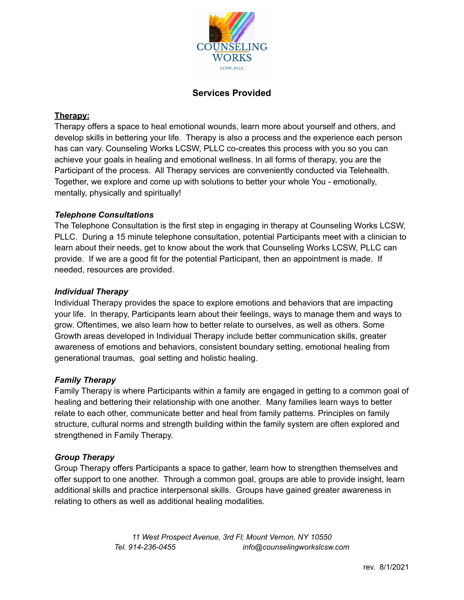

### **Services Provided**

### **Therapy:**

Therapy offers a space to heal emotional wounds, learn more about yourself and others, and develop skills in bettering your life. Therapy is also a process and the experience each person has can vary. Counseling Works LCSW, PLLC co-creates this process with you so you can achieve your goals in healing and emotional wellness. In all forms of therapy, you are the Participant of the process. All Therapy services are conveniently conducted via Telehealth. Together, we explore and come up with solutions to better your whole You - emotionally, mentally, physically and spiritually!

#### *Telephone Consultations*

The Telephone Consultation is the first step in engaging in therapy at Counseling Works LCSW, PLLC. During a 15 minute telephone consultation, potential Participants meet with a clinician to learn about their needs, get to know about the work that Counseling Works LCSW, PLLC can provide. If we are a good fit for the potential Participant, then an appointment is made. If needed, resources are provided.

#### *Individual Therapy*

Individual Therapy provides the space to explore emotions and behaviors that are impacting your life. In therapy, Participants learn about their feelings, ways to manage them and ways to grow. Oftentimes, we also learn how to better relate to ourselves, as well as others. Some Growth areas developed in Individual Therapy include better communication skills, greater awareness of emotions and behaviors, consistent boundary setting, emotional healing from generational traumas, goal setting and holistic healing.

#### *Family Therapy*

Family Therapy is where Participants within a family are engaged in getting to a common goal of healing and bettering their relationship with one another. Many families learn ways to better relate to each other, communicate better and heal from family patterns. Principles on family structure, cultural norms and strength building within the family system are often explored and strengthened in Family Therapy.

#### *Group Therapy*

Group Therapy offers Participants a space to gather, learn how to strengthen themselves and offer support to one another. Through a common goal, groups are able to provide insight, learn additional skills and practice interpersonal skills. Groups have gained greater awareness in relating to others as well as additional healing modalities.

> *11 West Prospect Avenue, 3rd Fl; Mount Vernon, NY 10550 Tel. 914-236-0455 info@counselingworkslcsw.com*